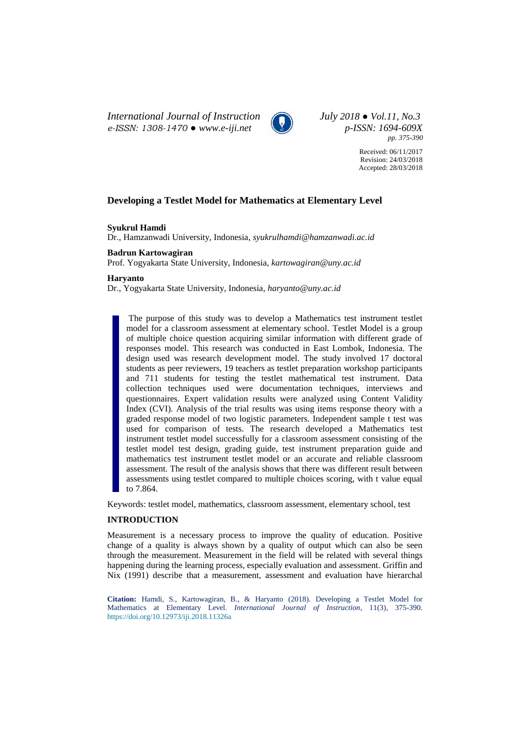*International Journal of Instruction July 2018 ● Vol.11, No.3 e-ISSN: 1308-1470 ● [www.e-iji.net](http://www.e-iji.net/) p-ISSN: 1694-609X*



*pp. 375-390*

Received: 06/11/2017 Revision: 24/03/2018 Accepted: 28/03/2018

# **Developing a Testlet Model for Mathematics at Elementary Level**

# **Syukrul Hamdi**

Dr., Hamzanwadi University, Indonesia, *syukrulhamdi@hamzanwadi.ac.id*

### **Badrun Kartowagiran**

Prof. Yogyakarta State University, Indonesia, *kartowagiran@uny.ac.id*

# **Haryanto**

Dr., Yogyakarta State University, Indonesia, *haryanto@uny.ac.id*

The purpose of this study was to develop a Mathematics test instrument testlet model for a classroom assessment at elementary school. Testlet Model is a group of multiple choice question acquiring similar information with different grade of responses model. This research was conducted in East Lombok, Indonesia. The design used was research development model. The study involved 17 doctoral students as peer reviewers, 19 teachers as testlet preparation workshop participants and 711 students for testing the testlet mathematical test instrument. Data collection techniques used were documentation techniques, interviews and questionnaires. Expert validation results were analyzed using Content Validity Index (CVI). Analysis of the trial results was using items response theory with a graded response model of two logistic parameters. Independent sample t test was used for comparison of tests. The research developed a Mathematics test instrument testlet model successfully for a classroom assessment consisting of the testlet model test design, grading guide, test instrument preparation guide and mathematics test instrument testlet model or an accurate and reliable classroom assessment. The result of the analysis shows that there was different result between assessments using testlet compared to multiple choices scoring, with t value equal to 7.864.

Keywords: testlet model, mathematics, classroom assessment, elementary school, test

# **INTRODUCTION**

Measurement is a necessary process to improve the quality of education. Positive change of a quality is always shown by a quality of output which can also be seen through the measurement. Measurement in the field will be related with several things happening during the learning process, especially evaluation and assessment. Griffin and Nix (1991) describe that a measurement, assessment and evaluation have hierarchal

**Citation:** Hamdi, S., Kartowagiran, B., & Haryanto (2018). Developing a Testlet Model for Mathematics at Elementary Level. *International Journal of Instruction*, 11(3), 375-390. <https://doi.org/10.12973/iji.2018.11326a>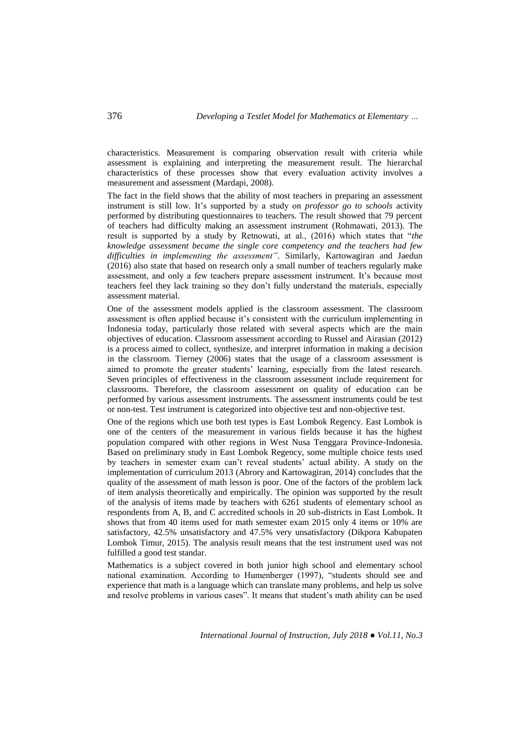characteristics. Measurement is comparing observation result with criteria while assessment is explaining and interpreting the measurement result. The hierarchal characteristics of these processes show that every evaluation activity involves a measurement and assessment (Mardapi, 2008).

The fact in the field shows that the ability of most teachers in preparing an assessment instrument is still low. It's supported by a study on *professor go to schools* activity performed by distributing questionnaires to teachers. The result showed that 79 percent of teachers had difficulty making an assessment instrument (Rohmawati, 2013). The result is supported by a study by Retnowati, at al., (2016) which states that "*the knowledge assessment became the single core competency and the teachers had few difficulties in implementing the assessment"*. Similarly, Kartowagiran and Jaedun (2016) also state that based on research only a small number of teachers regularly make assessment, and only a few teachers prepare assessment instrument. It's because most teachers feel they lack training so they don't fully understand the materials, especially assessment material.

One of the assessment models applied is the classroom assessment. The classroom assessment is often applied because it's consistent with the curriculum implementing in Indonesia today, particularly those related with several aspects which are the main objectives of education. Classroom assessment according to Russel and Airasian (2012) is a process aimed to collect, synthesize, and interpret information in making a decision in the classroom. Tierney (2006) states that the usage of a classroom assessment is aimed to promote the greater students' learning, especially from the latest research. Seven principles of effectiveness in the classroom assessment include requirement for classrooms. Therefore, the classroom assessment on quality of education can be performed by various assessment instruments. The assessment instruments could be test or non-test. Test instrument is categorized into objective test and non-objective test.

One of the regions which use both test types is East Lombok Regency. East Lombok is one of the centers of the measurement in various fields because it has the highest population compared with other regions in West Nusa Tenggara Province-Indonesia. Based on preliminary study in East Lombok Regency, some multiple choice tests used by teachers in semester exam can't reveal students' actual ability. A study on the implementation of curriculum 2013 (Abrory and Kartowagiran, 2014) concludes that the quality of the assessment of math lesson is poor. One of the factors of the problem lack of item analysis theoretically and empirically. The opinion was supported by the result of the analysis of items made by teachers with 6261 students of elementary school as respondents from A, B, and C accredited schools in 20 sub-districts in East Lombok. It shows that from 40 items used for math semester exam 2015 only 4 items or 10% are satisfactory, 42.5% unsatisfactory and 47.5% very unsatisfactory (Dikpora Kabupaten Lombok Timur, 2015). The analysis result means that the test instrument used was not fulfilled a good test standar.

Mathematics is a subject covered in both junior high school and elementary school national examination. According to Humenberger (1997), "students should see and experience that math is a language which can translate many problems, and help us solve and resolve problems in various cases". It means that student's math ability can be used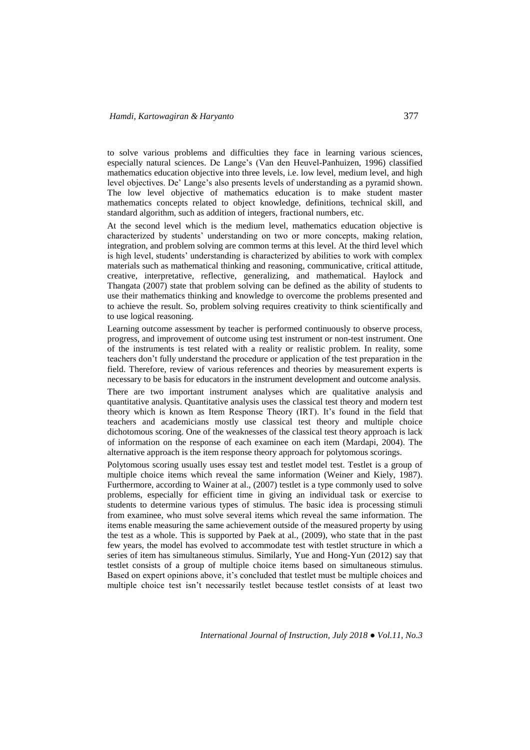to solve various problems and difficulties they face in learning various sciences, especially natural sciences. De Lange's (Van den Heuvel-Panhuizen, 1996) classified mathematics education objective into three levels, i.e. low level, medium level, and high level objectives. De' Lange's also presents levels of understanding as a pyramid shown. The low level objective of mathematics education is to make student master mathematics concepts related to object knowledge, definitions, technical skill, and standard algorithm, such as addition of integers, fractional numbers, etc.

At the second level which is the medium level, mathematics education objective is characterized by students' understanding on two or more concepts, making relation, integration, and problem solving are common terms at this level. At the third level which is high level, students' understanding is characterized by abilities to work with complex materials such as mathematical thinking and reasoning*,* communicative*,* critical attitude, creative, interpretative, reflective, generalizing, and mathematical. Haylock and Thangata (2007) state that problem solving can be defined as the ability of students to use their mathematics thinking and knowledge to overcome the problems presented and to achieve the result. So, problem solving requires creativity to think scientifically and to use logical reasoning.

Learning outcome assessment by teacher is performed continuously to observe process, progress, and improvement of outcome using test instrument or non-test instrument. One of the instruments is test related with a reality or realistic problem. In reality, some teachers don't fully understand the procedure or application of the test preparation in the field. Therefore, review of various references and theories by measurement experts is necessary to be basis for educators in the instrument development and outcome analysis.

There are two important instrument analyses which are qualitative analysis and quantitative analysis. Quantitative analysis uses the classical test theory and modern test theory which is known as Item Response Theory (IRT). It's found in the field that teachers and academicians mostly use classical test theory and multiple choice dichotomous scoring. One of the weaknesses of the classical test theory approach is lack of information on the response of each examinee on each item (Mardapi, 2004). The alternative approach is the item response theory approach for polytomous scorings.

Polytomous scoring usually uses essay test and testlet model test. Testlet is a group of multiple choice items which reveal the same information (Weiner and Kiely, 1987). Furthermore, according to Wainer at al., (2007) testlet is a type commonly used to solve problems, especially for efficient time in giving an individual task or exercise to students to determine various types of stimulus. The basic idea is processing stimuli from examinee, who must solve several items which reveal the same information. The items enable measuring the same achievement outside of the measured property by using the test as a whole. This is supported by Paek at al., (2009), who state that in the past few years, the model has evolved to accommodate test with testlet structure in which a series of item has simultaneous stimulus. Similarly, Yue and Hong-Yun (2012) say that testlet consists of a group of multiple choice items based on simultaneous stimulus. Based on expert opinions above, it's concluded that testlet must be multiple choices and multiple choice test isn't necessarily testlet because testlet consists of at least two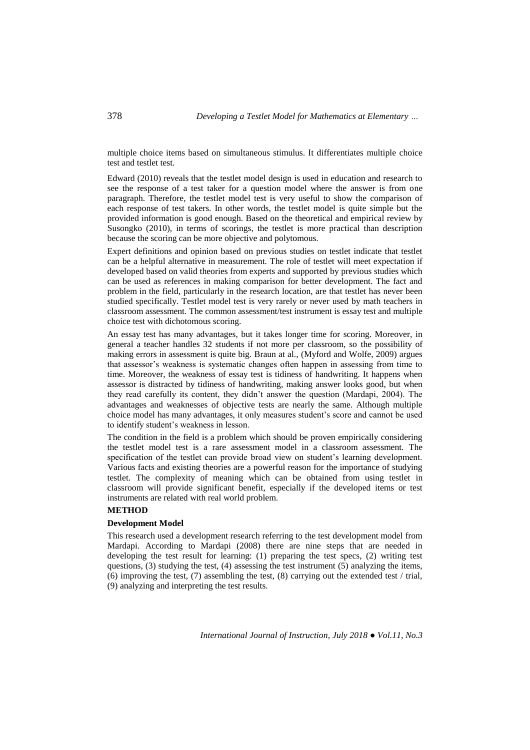multiple choice items based on simultaneous stimulus. It differentiates multiple choice test and testlet test.

Edward (2010) reveals that the testlet model design is used in education and research to see the response of a test taker for a question model where the answer is from one paragraph. Therefore, the testlet model test is very useful to show the comparison of each response of test takers. In other words, the testlet model is quite simple but the provided information is good enough. Based on the theoretical and empirical review by Susongko (2010), in terms of scorings, the testlet is more practical than description because the scoring can be more objective and polytomous.

Expert definitions and opinion based on previous studies on testlet indicate that testlet can be a helpful alternative in measurement. The role of testlet will meet expectation if developed based on valid theories from experts and supported by previous studies which can be used as references in making comparison for better development. The fact and problem in the field, particularly in the research location, are that testlet has never been studied specifically. Testlet model test is very rarely or never used by math teachers in classroom assessment. The common assessment/test instrument is essay test and multiple choice test with dichotomous scoring.

An essay test has many advantages, but it takes longer time for scoring. Moreover, in general a teacher handles 32 students if not more per classroom, so the possibility of making errors in assessment is quite big. Braun at al., (Myford and Wolfe, 2009) argues that assessor's weakness is systematic changes often happen in assessing from time to time. Moreover, the weakness of essay test is tidiness of handwriting. It happens when assessor is distracted by tidiness of handwriting, making answer looks good, but when they read carefully its content, they didn't answer the question (Mardapi, 2004). The advantages and weaknesses of objective tests are nearly the same. Although multiple choice model has many advantages, it only measures student's score and cannot be used to identify student's weakness in lesson.

The condition in the field is a problem which should be proven empirically considering the testlet model test is a rare assessment model in a classroom assessment. The specification of the testlet can provide broad view on student's learning development. Various facts and existing theories are a powerful reason for the importance of studying testlet. The complexity of meaning which can be obtained from using testlet in classroom will provide significant benefit, especially if the developed items or test instruments are related with real world problem*.*

# **METHOD**

#### **Development Model**

This research used a development research referring to the test development model from Mardapi. According to Mardapi (2008) there are nine steps that are needed in developing the test result for learning: (1) preparing the test specs, (2) writing test questions, (3) studying the test, (4) assessing the test instrument (5) analyzing the items, (6) improving the test,  $(7)$  assembling the test,  $(8)$  carrying out the extended test / trial, (9) analyzing and interpreting the test results.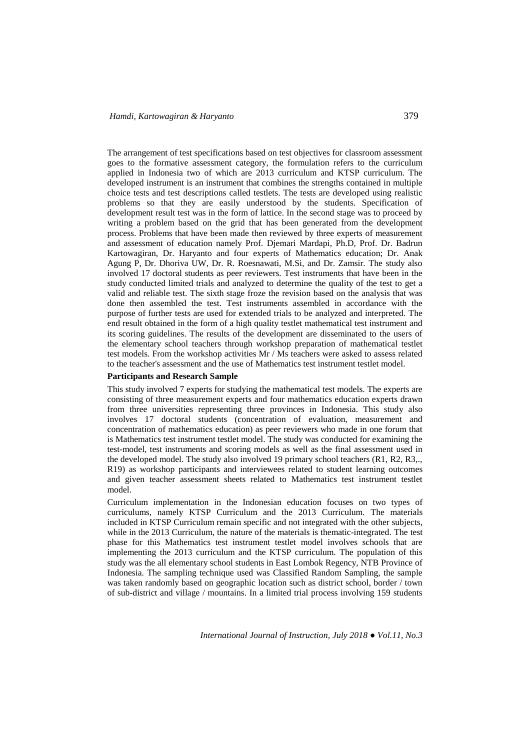The arrangement of test specifications based on test objectives for classroom assessment goes to the formative assessment category, the formulation refers to the curriculum applied in Indonesia two of which are 2013 curriculum and KTSP curriculum. The developed instrument is an instrument that combines the strengths contained in multiple choice tests and test descriptions called testlets. The tests are developed using realistic problems so that they are easily understood by the students. Specification of development result test was in the form of lattice. In the second stage was to proceed by writing a problem based on the grid that has been generated from the development process. Problems that have been made then reviewed by three experts of measurement and assessment of education namely Prof. Djemari Mardapi, Ph.D, Prof. Dr. Badrun Kartowagiran, Dr. Haryanto and four experts of Mathematics education; Dr. Anak Agung P, Dr. Dhoriva UW, Dr. R. Roesnawati, M.Si, and Dr. Zamsir. The study also involved 17 doctoral students as peer reviewers. Test instruments that have been in the study conducted limited trials and analyzed to determine the quality of the test to get a valid and reliable test. The sixth stage froze the revision based on the analysis that was done then assembled the test. Test instruments assembled in accordance with the purpose of further tests are used for extended trials to be analyzed and interpreted. The end result obtained in the form of a high quality testlet mathematical test instrument and its scoring guidelines. The results of the development are disseminated to the users of the elementary school teachers through workshop preparation of mathematical testlet test models. From the workshop activities Mr / Ms teachers were asked to assess related to the teacher's assessment and the use of Mathematics test instrument testlet model.

## **Participants and Research Sample**

This study involved 7 experts for studying the mathematical test models. The experts are consisting of three measurement experts and four mathematics education experts drawn from three universities representing three provinces in Indonesia. This study also involves 17 doctoral students (concentration of evaluation, measurement and concentration of mathematics education) as peer reviewers who made in one forum that is Mathematics test instrument testlet model. The study was conducted for examining the test-model, test instruments and scoring models as well as the final assessment used in the developed model. The study also involved 19 primary school teachers (R1, R2, R3,., R19) as workshop participants and interviewees related to student learning outcomes and given teacher assessment sheets related to Mathematics test instrument testlet model.

Curriculum implementation in the Indonesian education focuses on two types of curriculums, namely KTSP Curriculum and the 2013 Curriculum. The materials included in KTSP Curriculum remain specific and not integrated with the other subjects, while in the 2013 Curriculum, the nature of the materials is thematic-integrated. The test phase for this Mathematics test instrument testlet model involves schools that are implementing the 2013 curriculum and the KTSP curriculum. The population of this study was the all elementary school students in East Lombok Regency, NTB Province of Indonesia. The sampling technique used was Classified Random Sampling, the sample was taken randomly based on geographic location such as district school, border / town of sub-district and village / mountains. In a limited trial process involving 159 students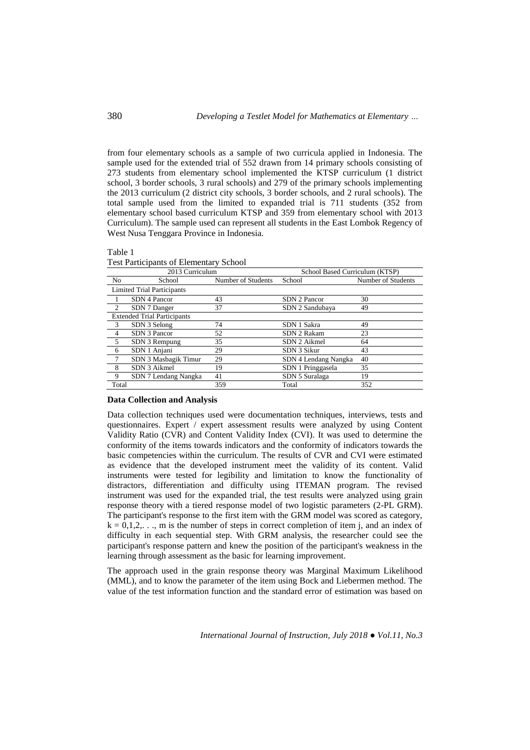from four elementary schools as a sample of two curricula applied in Indonesia. The sample used for the extended trial of 552 drawn from 14 primary schools consisting of 273 students from elementary school implemented the KTSP curriculum (1 district school, 3 border schools, 3 rural schools) and 279 of the primary schools implementing the 2013 curriculum (2 district city schools, 3 border schools, and 2 rural schools). The total sample used from the limited to expanded trial is 711 students (352 from elementary school based curriculum KTSP and 359 from elementary school with 2013 Curriculum). The sample used can represent all students in the East Lombok Regency of West Nusa Tenggara Province in Indonesia.

Test Participants of Elementary School

|       | 2013 Curriculum                    |                    | School Based Curriculum (KTSP) |                    |
|-------|------------------------------------|--------------------|--------------------------------|--------------------|
| No    | School                             | Number of Students | School                         | Number of Students |
|       | <b>Limited Trial Participants</b>  |                    |                                |                    |
|       | SDN 4 Pancor                       | 43                 | SDN 2 Pancor                   | 30                 |
| 2     | SDN 7 Danger                       | 37                 | SDN 2 Sandubaya                | 49                 |
|       | <b>Extended Trial Participants</b> |                    |                                |                    |
| 3     | SDN 3 Selong                       | 74                 | SDN 1 Sakra                    | 49                 |
| 4     | SDN 3 Pancor                       | 52                 | SDN 2 Rakam                    | 23                 |
| 5     | SDN 3 Rempung                      | 35                 | SDN 2 Aikmel                   | 64                 |
| 6     | SDN 1 Anjani                       | 29                 | SDN 3 Sikur                    | 43                 |
| 7     | SDN 3 Masbagik Timur               | 29                 | SDN 4 Lendang Nangka           | 40                 |
| 8     | SDN 3 Aikmel                       | 19                 | SDN 1 Pringgasela              | 35                 |
| 9     | SDN 7 Lendang Nangka               | 41                 | SDN 5 Suralaga                 | 19                 |
| Total |                                    | 359                | Total                          | 352                |

#### **Data Collection and Analysis**

Data collection techniques used were documentation techniques, interviews, tests and questionnaires. Expert / expert assessment results were analyzed by using Content Validity Ratio (CVR) and Content Validity Index (CVI). It was used to determine the conformity of the items towards indicators and the conformity of indicators towards the basic competencies within the curriculum. The results of CVR and CVI were estimated as evidence that the developed instrument meet the validity of its content. Valid instruments were tested for legibility and limitation to know the functionality of distractors, differentiation and difficulty using ITEMAN program. The revised instrument was used for the expanded trial, the test results were analyzed using grain response theory with a tiered response model of two logistic parameters (2-PL GRM). The participant's response to the first item with the GRM model was scored as category,  $k = 0,1,2,..., m$  is the number of steps in correct completion of item j, and an index of difficulty in each sequential step. With GRM analysis, the researcher could see the participant's response pattern and knew the position of the participant's weakness in the learning through assessment as the basic for learning improvement.

The approach used in the grain response theory was Marginal Maximum Likelihood (MML), and to know the parameter of the item using Bock and Liebermen method. The value of the test information function and the standard error of estimation was based on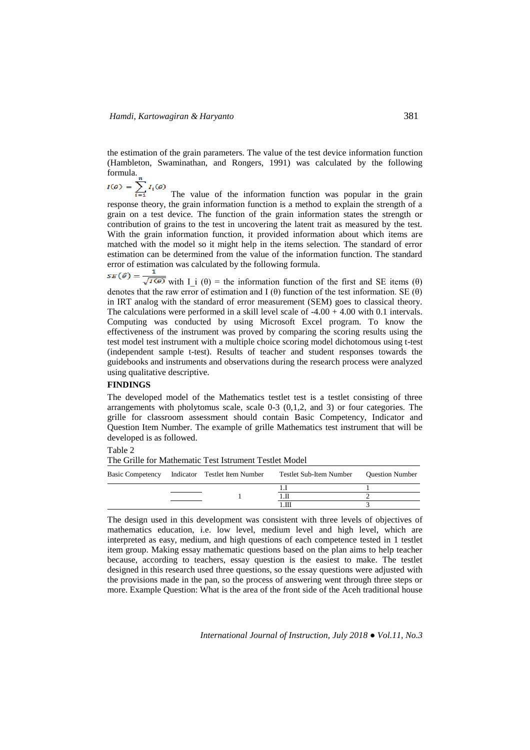the estimation of the grain parameters. The value of the test device information function (Hambleton, Swaminathan, and Rongers, 1991) was calculated by the following formula.

The value of the information function was popular in the grain response theory, the grain information function is a method to explain the strength of a grain on a test device. The function of the grain information states the strength or contribution of grains to the test in uncovering the latent trait as measured by the test. With the grain information function, it provided information about which items are matched with the model so it might help in the items selection. The standard of error estimation can be determined from the value of the information function. The standard error of estimation was calculated by the following formula.  $SE(\hat{\theta}) = \frac{1}{\sqrt{I(\theta)}}$  with  $I_i(\theta) =$  the information function of the first and SE items ( $\theta$ ) denotes that the raw error of estimation and I (θ) function of the test information. SE (θ) in IRT analog with the standard of error measurement (SEM) goes to classical theory. The calculations were performed in a skill level scale of  $-4.00 + 4.00$  with 0.1 intervals. Computing was conducted by using Microsoft Excel program. To know the effectiveness of the instrument was proved by comparing the scoring results using the

test model test instrument with a multiple choice scoring model dichotomous using t-test (independent sample t-test). Results of teacher and student responses towards the guidebooks and instruments and observations during the research process were analyzed using qualitative descriptive.

## **FINDINGS**

The developed model of the Mathematics testlet test is a testlet consisting of three arrangements with pholytomus scale, scale  $0-3$   $(0,1,2,$  and 3) or four categories. The grille for classroom assessment should contain Basic Competency, Indicator and Question Item Number. The example of grille Mathematics test instrument that will be developed is as followed.

Table 2

The Grille for Mathematic Test Istrument Testlet Model

|  | Basic Competency Indicator Testlet Item Number | Testlet Sub-Item Number | <b>Ouestion Number</b> |
|--|------------------------------------------------|-------------------------|------------------------|
|  |                                                |                         |                        |
|  |                                                |                         |                        |
|  |                                                | L III                   |                        |

The design used in this development was consistent with three levels of objectives of mathematics education, i.e. low level, medium level and high level, which are interpreted as easy, medium, and high questions of each competence tested in 1 testlet item group. Making essay mathematic questions based on the plan aims to help teacher because, according to teachers, essay question is the easiest to make. The testlet designed in this research used three questions, so the essay questions were adjusted with the provisions made in the pan, so the process of answering went through three steps or more. Example Question: What is the area of the front side of the Aceh traditional house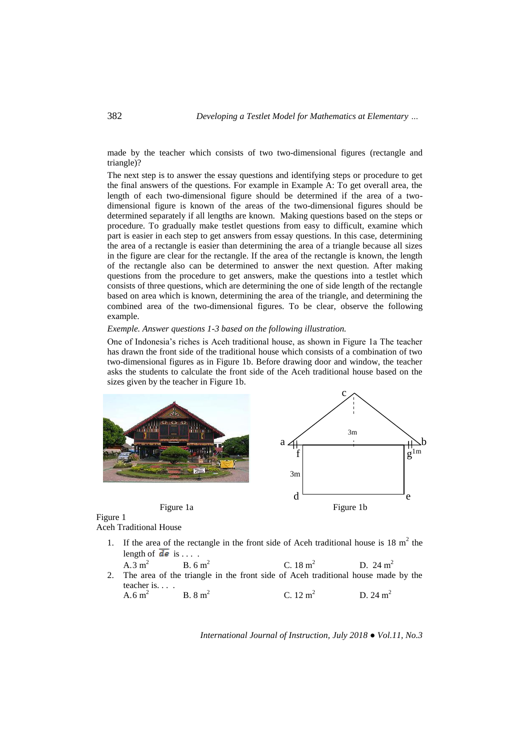made by the teacher which consists of two two-dimensional figures (rectangle and triangle)?

The next step is to answer the essay questions and identifying steps or procedure to get the final answers of the questions. For example in Example A: To get overall area, the length of each two-dimensional figure should be determined if the area of a twodimensional figure is known of the areas of the two-dimensional figures should be determined separately if all lengths are known. Making questions based on the steps or procedure. To gradually make testlet questions from easy to difficult, examine which part is easier in each step to get answers from essay questions. In this case, determining the area of a rectangle is easier than determining the area of a triangle because all sizes in the figure are clear for the rectangle. If the area of the rectangle is known, the length of the rectangle also can be determined to answer the next question. After making questions from the procedure to get answers, make the questions into a testlet which consists of three questions, which are determining the one of side length of the rectangle based on area which is known, determining the area of the triangle, and determining the combined area of the two-dimensional figures. To be clear, observe the following example.

# *Exemple. Answer questions 1-3 based on the following illustration.*

One of Indonesia's riches is Aceh traditional house, as shown in Figure 1a The teacher has drawn the front side of the traditional house which consists of a combination of two two-dimensional figures as in Figure 1b. Before drawing door and window, the teacher asks the students to calculate the front side of the Aceh traditional house based on the sizes given by the teacher in Figure 1b.



# Figure 1

- Aceh Traditional House
	- 1. If the area of the rectangle in the front side of Aceh traditional house is  $18 \text{ m}^2$  the length of  $\overline{de}$  is ....
	- A.3 m<sup>2</sup> B. 6 m<sup>2</sup> C. 18 m<sup>2</sup> D. 24 m<sup>2</sup> 2. The area of the triangle in the front side of Aceh traditional house made by the teacher is. . . .

```
A.6 m<sup>2</sup> B. 8 m<sup>2</sup> C. 12 m<sup>2</sup> D. 24 m<sup>2</sup>
```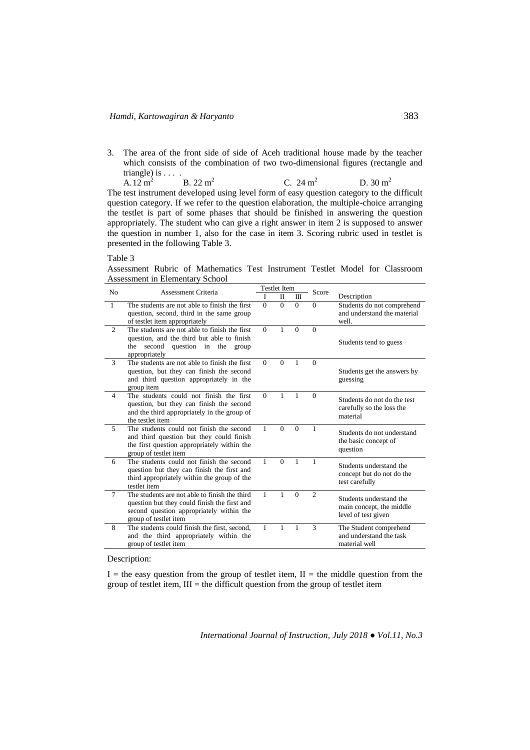3. The area of the front side of side of Aceh traditional house made by the teacher which consists of the combination of two two-dimensional figures (rectangle and triangle) is . . . . .<br>A.  $12 \text{ m}^2$ 

B.  $22 \text{ m}^2$  C.  $24 \text{ m}^2$  D.  $30 \text{ m}^2$ The test instrument developed using level form of easy question category to the difficult question category. If we refer to the question elaboration, the multiple-choice arranging the testlet is part of some phases that should be finished in answering the question appropriately. The student who can give a right answer in item 2 is supposed to answer the question in number 1, also for the case in item 3. Scoring rubric used in testlet is presented in the following Table 3.

#### Table 3

Assessment Rubric of Mathematics Test Instrument Testlet Model for Classroom Assessment in Elementary School

| N <sub>0</sub> | Assessment Criteria                                                                                                                                                |              | <b>Testlet Item</b> |          | Score          |                                                                            |
|----------------|--------------------------------------------------------------------------------------------------------------------------------------------------------------------|--------------|---------------------|----------|----------------|----------------------------------------------------------------------------|
|                |                                                                                                                                                                    | $\mathbf{I}$ | $\Pi$               | IΠ       |                | Description                                                                |
| $\mathbf{1}$   | The students are not able to finish the first<br>question, second, third in the same group<br>of testlet item appropriately                                        | $\Omega$     | $\Omega$            | $\Omega$ | $\Omega$       | Students do not comprehend<br>and understand the material<br>well.         |
| $\overline{c}$ | The students are not able to finish the first<br>question, and the third but able to finish<br>second question in the<br>the<br>group<br>appropriately             | $\Omega$     | 1                   | $\Omega$ | $\Omega$       | Students tend to guess                                                     |
| 3              | The students are not able to finish the first<br>question, but they can finish the second<br>and third question appropriately in the<br>group item                 | $\Omega$     | $\Omega$            | 1        | $\Omega$       | Students get the answers by<br>guessing                                    |
| 4              | The students could not finish the first<br>question, but they can finish the second<br>and the third appropriately in the group of<br>the testlet item             | $\Omega$     | 1                   | 1        | $\Omega$       | Students do not do the test<br>carefully so the loss the<br>material       |
| 5              | The students could not finish the second<br>and third question but they could finish<br>the first question appropriately within the<br>group of testlet item       | 1            | $\Omega$            | $\Omega$ | 1              | Students do not understand<br>the basic concept of<br>question             |
| 6              | The students could not finish the second<br>question but they can finish the first and<br>third appropriately within the group of the<br>testlet item              | $\mathbf{1}$ | $\Omega$            | 1        | 1              | Students understand the<br>concept but do not do the<br>test carefully     |
| $\overline{7}$ | The students are not able to finish the third<br>question but they could finish the first and<br>second question appropriately within the<br>group of testlet item | $\mathbf{1}$ | $\mathbf{1}$        | $\Omega$ | $\mathfrak{D}$ | Students understand the<br>main concept, the middle<br>level of test given |
| 8              | The students could finish the first, second,<br>and the third appropriately within the<br>group of testlet item                                                    | $\mathbf{1}$ | $\mathbf{1}$        | 1        | $\mathbf{3}$   | The Student comprehend<br>and understand the task<br>material well         |

#### Description:

 $I =$  the easy question from the group of testlet item,  $II =$  the middle question from the group of testlet item,  $III =$  the difficult question from the group of testlet item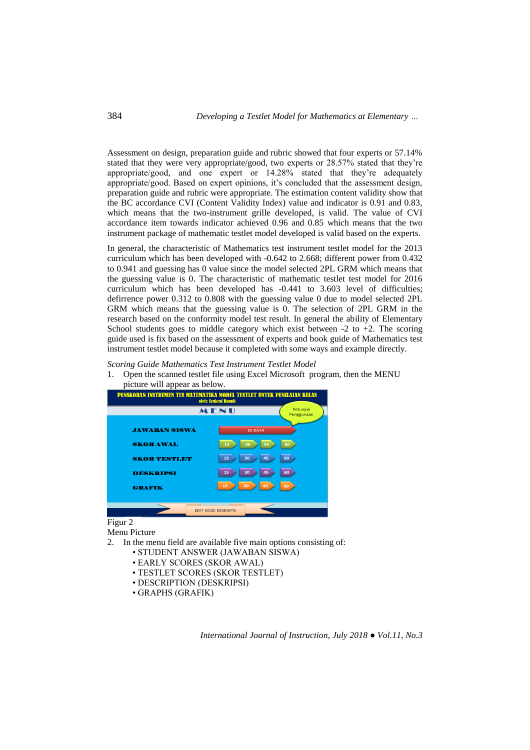Assessment on design, preparation guide and rubric showed that four experts or 57.14% stated that they were very appropriate/good, two experts or 28.57% stated that they're appropriate/good, and one expert or 14.28% stated that they're adequately appropriate/good. Based on expert opinions, it's concluded that the assessment design, preparation guide and rubric were appropriate. The estimation content validity show that the BC accordance CVI (Content Validity Index) value and indicator is 0.91 and 0.83, which means that the two-instrument grille developed, is valid. The value of CVI accordance item towards indicator achieved 0.96 and 0.85 which means that the two instrument package of mathematic testlet model developed is valid based on the experts.

In general, the characteristic of Mathematics test instrument testlet model for the 2013 curriculum which has been developed with -0.642 to 2.668; different power from 0.432 to 0.941 and guessing has 0 value since the model selected 2PL GRM which means that the guessing value is 0. The characteristic of mathematic testlet test model for 2016 curriculum which has been developed has -0.441 to 3.603 level of difficulties; defirrence power 0.312 to 0.808 with the guessing value 0 due to model selected 2PL GRM which means that the guessing value is 0. The selection of 2PL GRM in the research based on the conformity model test result. In general the ability of Elementary School students goes to middle category which exist between  $-2$  to  $+2$ . The scoring guide used is fix based on the assessment of experts and book guide of Mathematics test instrument testlet model because it completed with some ways and example directly.

*Scoring Guide Mathematics Test Instrument Testlet Model*

- 1. Open the scanned testlet file using Excel Microsoft program, then the MENU
- 



Figur 2

Menu Picture

- 2. In the menu field are available five main options consisting of:
	- STUDENT ANSWER (JAWABAN SISWA)
	- EARLY SCORES (SKOR AWAL)
	- TESTLET SCORES (SKOR TESTLET)
	- DESCRIPTION (DESKRIPSI)
	- GRAPHS (GRAFIK)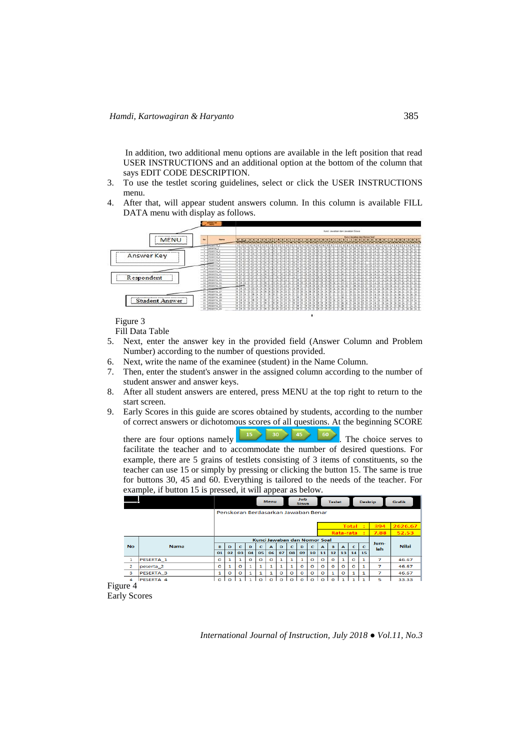In addition, two additional menu options are available in the left position that read USER INSTRUCTIONS and an additional option at the bottom of the column that says EDIT CODE DESCRIPTION.

- 3. To use the testlet scoring guidelines, select or click the USER INSTRUCTIONS menu.
- 4. After that, will appear student answers column. In this column is available FILL DATA menu with display as follows.

|                                         |           |                      |        |                 |                 |    |    |    |              |      |  |  | Kumi) jaungkan dari Jawahan Sidwa |  |   |                                            |  |  |     |               |
|-----------------------------------------|-----------|----------------------|--------|-----------------|-----------------|----|----|----|--------------|------|--|--|-----------------------------------|--|---|--------------------------------------------|--|--|-----|---------------|
| ,,,,,,,,,,,,,,,,,,,,,,,,,,,,,,          |           |                      |        |                 |                 |    |    |    |              |      |  |  |                                   |  |   | <b>Russell Description des Norton Scot</b> |  |  |     |               |
| <b>MENU</b>                             | $\sim$    | <b>Programme</b>     |        | $B$ $B$ $F$ $D$ |                 |    |    | m  | <b>COLOR</b> | aman |  |  |                                   |  | п |                                            |  |  |     |               |
| <i><u><b>SMANAHAMMANAHAMMAN</b></u></i> |           | <b>SETA</b>          | $\sim$ |                 |                 |    |    |    |              |      |  |  |                                   |  |   |                                            |  |  |     |               |
|                                         |           | <b>SPILINTAL</b>     |        |                 |                 |    |    |    |              |      |  |  |                                   |  |   |                                            |  |  |     |               |
|                                         |           | letterta.            |        |                 |                 |    |    |    |              |      |  |  |                                   |  |   |                                            |  |  |     |               |
|                                         |           | <b>Jagnapora</b> 4   | i sh   |                 |                 |    |    |    |              |      |  |  |                                   |  |   |                                            |  |  |     |               |
| Answer Key                              |           | <b>PESERTA</b>       |        |                 |                 |    |    |    |              |      |  |  |                                   |  |   |                                            |  |  |     |               |
|                                         |           | <b>Jernators</b> , a |        |                 |                 |    |    |    |              |      |  |  |                                   |  |   |                                            |  |  |     |               |
|                                         |           | ler-sairts.          |        |                 |                 |    |    |    |              |      |  |  |                                   |  |   |                                            |  |  |     |               |
|                                         |           | <b>SHINESTA #</b>    | ×      |                 |                 |    |    |    |              |      |  |  |                                   |  |   |                                            |  |  |     |               |
|                                         |           | <b>HENRICK S</b>     |        |                 |                 |    |    |    |              |      |  |  |                                   |  |   |                                            |  |  |     |               |
|                                         | 18<br>___ | <b>JPESERTA SO</b>   |        |                 |                 |    |    |    |              |      |  |  |                                   |  |   |                                            |  |  |     |               |
|                                         | 18        | Sessente, 17         |        |                 |                 |    |    |    |              |      |  |  |                                   |  |   |                                            |  |  |     |               |
| Respondent                              | 12        | <b>SHELFETA 37</b>   |        |                 |                 |    |    |    |              |      |  |  |                                   |  |   |                                            |  |  |     |               |
|                                         | 18        | <b>SPESSING 33</b>   |        |                 |                 |    |    |    |              |      |  |  |                                   |  |   |                                            |  |  |     |               |
|                                         | 14        | <b>PESERTA 34</b>    |        |                 |                 |    |    |    |              |      |  |  |                                   |  |   |                                            |  |  |     |               |
|                                         | 15        | <b>Jersenta, 33</b>  |        |                 |                 |    |    |    |              |      |  |  |                                   |  |   |                                            |  |  |     |               |
|                                         | 16        | <b>RESIDENCE</b>     | ÷      | $\frac{1}{2}$   |                 |    |    |    |              |      |  |  |                                   |  |   |                                            |  |  |     |               |
|                                         | 17        | DRIMATA II           |        |                 |                 |    |    |    |              |      |  |  |                                   |  |   |                                            |  |  |     |               |
|                                         | 18        | <b>PESERTA SE</b>    |        |                 |                 |    |    |    |              |      |  |  |                                   |  |   |                                            |  |  |     |               |
|                                         | 136       | Jersenta 59          | $\sim$ |                 |                 |    |    |    |              |      |  |  |                                   |  |   |                                            |  |  |     |               |
| <u>  Student Answer  </u>               | 20        | <b>DRIGHTA 30</b>    |        |                 |                 |    |    |    |              |      |  |  |                                   |  |   |                                            |  |  |     |               |
|                                         | $\pm$     | MESERTA 21           |        |                 |                 |    |    |    |              |      |  |  |                                   |  |   |                                            |  |  |     |               |
|                                         | 49        | <b>HESERTA Z</b>     |        |                 |                 |    |    | 14 |              |      |  |  |                                   |  |   |                                            |  |  |     | ------------- |
|                                         |           | <b>IS DISPETA 21</b> | $-16$  |                 | ТÞ<br><b>AR</b> | T6 | 16 |    |              |      |  |  |                                   |  |   |                                            |  |  | 14. | La.           |

## Figure 3

Fill Data Table

- 5. Next, enter the answer key in the provided field (Answer Column and Problem Number) according to the number of questions provided.
- 6. Next, write the name of the examinee (student) in the Name Column.
- 7. Then, enter the student's answer in the assigned column according to the number of student answer and answer keys.
- 8. After all student answers are entered, press MENU at the top right to return to the start screen.
- 9. Early Scores in this guide are scores obtained by students, according to the number of correct answers or dichotomous scores of all questions. At the beginning SCORE

there are four options namely . The choice serves to facilitate the teacher and to accommodate the number of desired questions. For example, there are 5 grains of testlets consisting of 3 items of constituents, so the teacher can use 15 or simply by pressing or clicking the button 15. The same is true for buttons 30, 45 and 60. Everything is tailored to the needs of the teacher. For example, if button 15 is pressed, it will appear as below.

|                         | $\overline{\phantom{a}}$ |                                      |             | . .         |                                     |          | . .             |           |                 |                            |             |              |                 |              |             |                |      |               |
|-------------------------|--------------------------|--------------------------------------|-------------|-------------|-------------------------------------|----------|-----------------|-----------|-----------------|----------------------------|-------------|--------------|-----------------|--------------|-------------|----------------|------|---------------|
|                         |                          |                                      |             |             |                                     |          | <b>Menu</b>     |           |                 | <b>Jwb</b><br><b>Siswa</b> |             |              | <b>Teslet</b>   |              |             | <b>Deskrip</b> |      | <b>Grafik</b> |
|                         |                          |                                      |             |             | Penskoran Berdasarkan Jawaban Benar |          |                 |           |                 |                            |             |              |                 |              |             |                |      |               |
|                         |                          |                                      |             |             |                                     |          |                 |           |                 |                            |             |              |                 |              | Total :     |                | 394  | 2626.67       |
|                         |                          |                                      |             |             |                                     |          |                 |           |                 |                            |             |              |                 | Rata-rata    |             |                | 7.88 | 52.53         |
|                         |                          | Kunci Jawaban dan Nomor Soal<br>Jum- |             |             |                                     |          |                 |           |                 |                            |             |              |                 |              |             |                |      |               |
| <b>No</b>               | <b>Nama</b>              | R                                    | Ð           | c           | Ð                                   | c        | $\mathbf{A}$    | Ð         | c               | Ð                          | c           | $\mathbf{A}$ | в               | $\mathbf{A}$ | c           | <b>C</b>       | lah  | <b>Nilai</b>  |
|                         |                          | 01                                   | 02          | 03          | 04                                  | 05       | 06 <sub>1</sub> | 07        | 08 <sup>1</sup> | 09                         | 10          | 11           | 12 <sub>1</sub> | 13           | 14          | 15             |      |               |
| 1                       | PESERTA 1                | $\bullet$                            | 1           | 1.          | $\Omega$                            | $\Omega$ | $\mathbf o$     | 1         | 1               | 1                          | $\mathbf o$ | $\Omega$     | $\Omega$        | 1            | $\mathbf o$ | 1              | 7    | 46.67         |
| $\overline{2}$          | peserta <sub>2</sub>     | $\Omega$                             | 1.          | $\Omega$    | 1                                   |          | 1               | 1         | 1               | $\Omega$                   | $\bullet$   | $\mathbf o$  | $\Omega$        | $\Omega$     | $\Omega$    | ٠              | 7    | 46.67         |
| $\overline{\mathbf{3}}$ | PESERTA <sub>3</sub>     | 1                                    | $\mathbf o$ | $\mathbf o$ | 1                                   |          | 1               | $\bullet$ | $\circ$         | $\mathbf o$                | $\mathbf o$ | $\mathbf o$  |                 | o            | 1           | 1              | 7    | 46.67         |
| 4                       | PESERTA 4                | n                                    |             |             |                                     |          |                 |           |                 |                            |             |              |                 |              |             |                | к    | 33.33         |
| . 1                     |                          |                                      |             |             |                                     |          |                 |           |                 |                            |             |              |                 |              |             |                |      |               |

Figure 4 Early Scores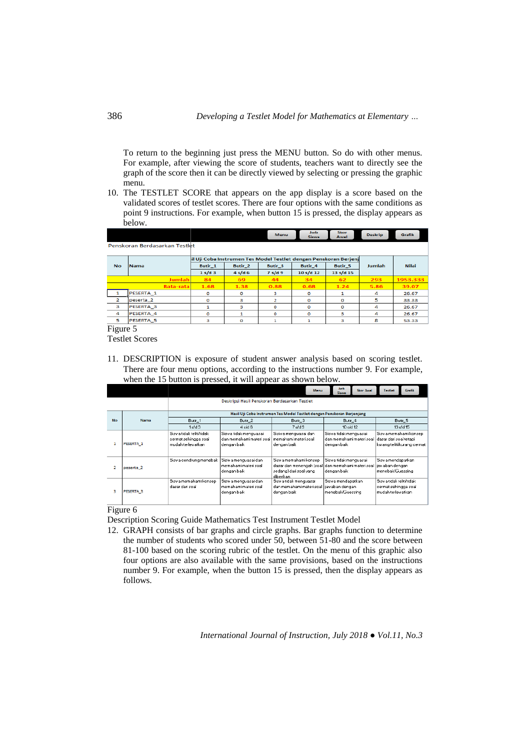To return to the beginning just press the MENU button. So do with other menus. For example, after viewing the score of students, teachers want to directly see the graph of the score then it can be directly viewed by selecting or pressing the graphic menu.

10. The TESTLET SCORE that appears on the app display is a score based on the validated scores of testlet scores. There are four options with the same conditions as point 9 instructions. For example, when button 15 is pressed, the display appears as below.

|                |                               |         |                                                                  | Menu          | <b>Jwb</b><br><b>Siswa</b> | <b>Skor</b><br>Awal | <b>Deskrip</b> | <b>Grafik</b> |
|----------------|-------------------------------|---------|------------------------------------------------------------------|---------------|----------------------------|---------------------|----------------|---------------|
|                | Penskoran Berdasarkan Testlet |         |                                                                  |               |                            |                     |                |               |
|                |                               |         | il Uii Coba Instrumen Tes Model Testlet dengan Penskoran Berieni |               |                            |                     |                |               |
| <b>No</b>      | <b>Nama</b>                   | Butir 1 | Butir <sub>2</sub>                                               | <b>Jumlah</b> | <b>Nilai</b>               |                     |                |               |
|                |                               | 1 s/d3  | 4 s/d 6                                                          | 7 s/d9        | 10 s/d 12                  | 13 s/d 15           |                |               |
|                | <b>Jumlah</b>                 | 84      | 69                                                               | 44            | 34                         | 62                  | 293            | 1953.333      |
|                | Rata-rata                     | 1.68    | 1.38                                                             | 0.88          | 0.68                       | 1.24                | 5.86           | 39.07         |
|                | PESERTA_1                     | o       | ٥                                                                | з             | ۰                          |                     | 4              | 26.67         |
| $\overline{2}$ | peserta <sub>2</sub>          | o       | з                                                                | 2             | $\Omega$                   | o                   | 5              | 33.33         |
| з              | PESERTA <sub>3</sub>          |         | з                                                                | ۰             | o                          | ۰                   | 4              | 26.67         |
| 4              | PESERTA 4                     | o       |                                                                  | $\Omega$      | o                          | з                   | 4              | 26.67         |
| 5              | PESERTA <sub>5</sub>          | з       | o                                                                | 1             | 1                          | з                   | 8              | 53.33         |
| --             |                               |         |                                                                  |               |                            |                     |                |               |

Figure 5 Testlet Scores

11. DESCRIPTION is exposure of student answer analysis based on scoring testlet. There are four menu options, according to the instructions number 9. For example, when the 15 button is pressed, it will appear as shown below.

|           |                      |                                                                        |                                                                  | Menu                                                                                      | <b>Jwb</b><br><b>Siswa</b>                                       | <b>Skor Awa</b> | Testlet                                                               | Grafik                                               |  |
|-----------|----------------------|------------------------------------------------------------------------|------------------------------------------------------------------|-------------------------------------------------------------------------------------------|------------------------------------------------------------------|-----------------|-----------------------------------------------------------------------|------------------------------------------------------|--|
|           |                      |                                                                        | Deskripsi Hasil Penskoran Berdasarkan Testlet                    |                                                                                           |                                                                  |                 |                                                                       |                                                      |  |
|           |                      |                                                                        |                                                                  | Hasil Uji Coba Instrumen Tes Model Testlet dengan Penskoran Berjenjang                    |                                                                  |                 |                                                                       |                                                      |  |
| <b>No</b> | <b>Nama</b>          | Butir_1                                                                | Butir_2                                                          | Butir_3                                                                                   | Butir_4                                                          |                 | Butir_5                                                               |                                                      |  |
|           |                      | $1$ słd $3$                                                            | $4$ s/d $6$                                                      | Psid9                                                                                     | $10$ s/d $12$                                                    |                 | $13$ s/d $15$                                                         |                                                      |  |
|           | <b>PESERTA 1</b>     | Siswa tidak teliti/tidak<br>cermat sehingga soal<br>mudah terlewatkan. | Siswa tidak menguasai<br>dan memahami materi soal<br>dengan baik | Sisiwa menguasai dan<br>l memahami materi soal<br>dengan baik                             | Siswa tidak menguasai<br>dan memahami materi soal<br>dengan baik |                 | dasar dari soal tetapi                                                | Siswa memahami konsep<br>kurang teliti/kurang cermat |  |
|           | peserta <sub>2</sub> | Siswa cendrung menebak                                                 | Sisiwa menguasai dan<br>memahami materi soal.<br>dengan baik     | Siswa memahami konsep<br>dasar dan menengah (soal<br>sedang) dari soal vang<br>diberikan. | Siswa tidak menguasai<br>dan memahami materi soal<br>dengan baik |                 | Siswa mendapatkan<br> jawaban dengan <br>menebak/Guessing             |                                                      |  |
|           | <b>PESERTA 3</b>     | Siswa memahami konsep<br>dasar dari soal                               | Sisiwa menguasai dan<br>memahami materi soal<br>dengan baik      | Siswa tidak menguasai<br>dan memahami materi soal<br>dengan baik                          | Siswa mendapatkan<br>liawaban dengan<br>menebak/Guessing         |                 | Siswa tidak telitiridak<br>cermat sehingga soal<br>mudah terlewatkan. |                                                      |  |

Figure 6

Description Scoring Guide Mathematics Test Instrument Testlet Model

12. GRAPH consists of bar graphs and circle graphs. Bar graphs function to determine the number of students who scored under 50, between 51-80 and the score between 81-100 based on the scoring rubric of the testlet. On the menu of this graphic also four options are also available with the same provisions, based on the instructions number 9. For example, when the button 15 is pressed, then the display appears as follows.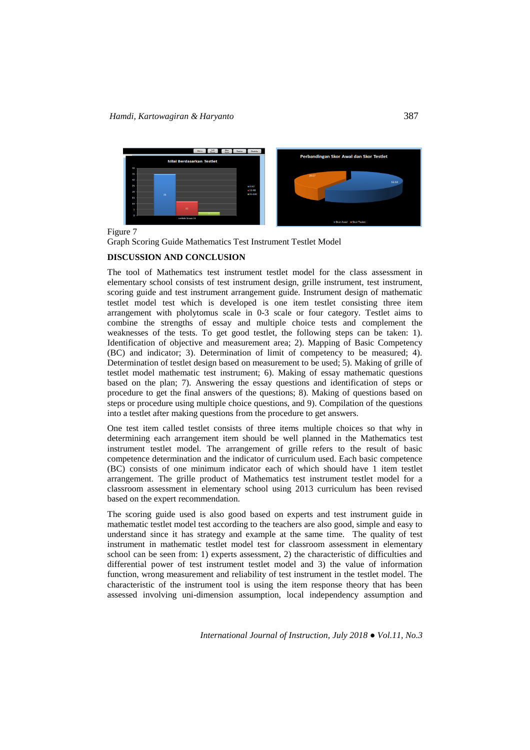

Figure 7

Graph Scoring Guide Mathematics Test Instrument Testlet Model

# **DISCUSSION AND CONCLUSION**

The tool of Mathematics test instrument testlet model for the class assessment in elementary school consists of test instrument design, grille instrument, test instrument, scoring guide and test instrument arrangement guide. Instrument design of mathematic testlet model test which is developed is one item testlet consisting three item arrangement with pholytomus scale in 0-3 scale or four category. Testlet aims to combine the strengths of essay and multiple choice tests and complement the weaknesses of the tests. To get good testlet, the following steps can be taken: 1). Identification of objective and measurement area; 2). Mapping of Basic Competency (BC) and indicator; 3). Determination of limit of competency to be measured; 4). Determination of testlet design based on measurement to be used; 5). Making of grille of testlet model mathematic test instrument; 6). Making of essay mathematic questions based on the plan; 7). Answering the essay questions and identification of steps or procedure to get the final answers of the questions; 8). Making of questions based on steps or procedure using multiple choice questions, and 9). Compilation of the questions into a testlet after making questions from the procedure to get answers.

One test item called testlet consists of three items multiple choices so that why in determining each arrangement item should be well planned in the Mathematics test instrument testlet model. The arrangement of grille refers to the result of basic competence determination and the indicator of curriculum used. Each basic competence (BC) consists of one minimum indicator each of which should have 1 item testlet arrangement. The grille product of Mathematics test instrument testlet model for a classroom assessment in elementary school using 2013 curriculum has been revised based on the expert recommendation.

The scoring guide used is also good based on experts and test instrument guide in mathematic testlet model test according to the teachers are also good, simple and easy to understand since it has strategy and example at the same time. The quality of test instrument in mathematic testlet model test for classroom assessment in elementary school can be seen from: 1) experts assessment, 2) the characteristic of difficulties and differential power of test instrument testlet model and 3) the value of information function, wrong measurement and reliability of test instrument in the testlet model. The characteristic of the instrument tool is using the item response theory that has been assessed involving uni-dimension assumption, local independency assumption and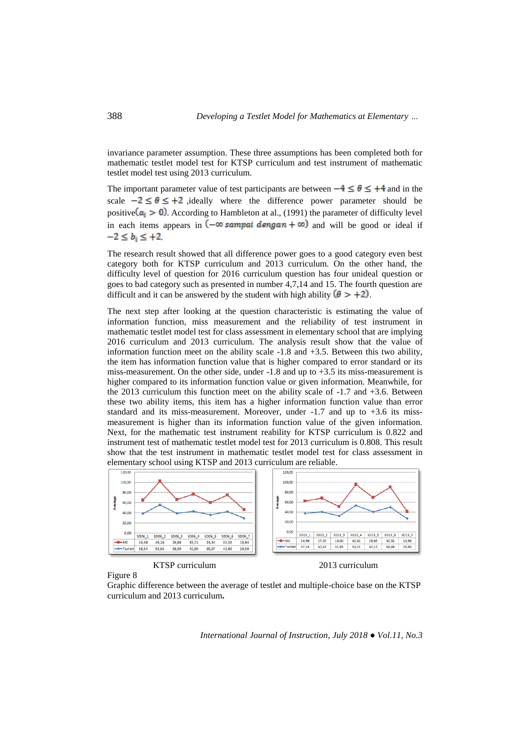invariance parameter assumption. These three assumptions has been completed both for mathematic testlet model test for KTSP curriculum and test instrument of mathematic testlet model test using 2013 curriculum.

The important parameter value of test participants are between  $-4 \le \theta \le +4$  and in the scale  $-2 \le \theta \le +2$ , ideally where the difference power parameter should be positive  $(a_i > 0)$ . According to Hambleton at al., (1991) the parameter of difficulty level in each items appears in  $(-\infty)$  sampai dengan +  $\infty$ ) and will be good or ideal if  $-2 \le b_i \le +2$ 

The research result showed that all difference power goes to a good category even best category both for KTSP curriculum and 2013 curriculum. On the other hand, the difficulty level of question for 2016 curriculum question has four unideal question or goes to bad category such as presented in number 4,7,14 and 15. The fourth question are difficult and it can be answered by the student with high ability  $(\theta > +2)$ .

The next step after looking at the question characteristic is estimating the value of information function, miss measurement and the reliability of test instrument in mathematic testlet model test for class assessment in elementary school that are implying 2016 curriculum and 2013 curriculum. The analysis result show that the value of information function meet on the ability scale  $-1.8$  and  $+3.5$ . Between this two ability, the item has information function value that is higher compared to error standard or its miss-measurement. On the other side, under -1.8 and up to +3.5 its miss-measurement is higher compared to its information function value or given information. Meanwhile, for the 2013 curriculum this function meet on the ability scale of -1.7 and +3.6. Between these two ability items, this item has a higher information function value than error standard and its miss-measurement. Moreover, under -1.7 and up to +3.6 its missmeasurement is higher than its information function value of the given information. Next, for the mathematic test instrument reability for KTSP curriculum is 0.822 and instrument test of mathematic testlet model test for 2013 curriculum is 0.808. This result show that the test instrument in mathematic testlet model test for class assessment in elementary school using KTSP and 2013 curriculum are reliable.



KTSP curriculum 2013 curriculum

Figure 8

Graphic difference between the average of testlet and multiple-choice base on the KTSP curriculum and 2013 curriculum**.**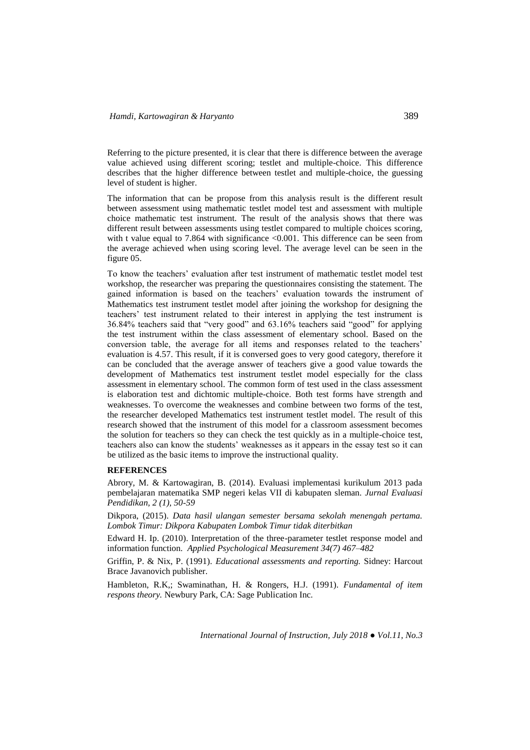Referring to the picture presented, it is clear that there is difference between the average value achieved using different scoring; testlet and multiple-choice. This difference describes that the higher difference between testlet and multiple-choice, the guessing level of student is higher.

The information that can be propose from this analysis result is the different result between assessment using mathematic testlet model test and assessment with multiple choice mathematic test instrument. The result of the analysis shows that there was different result between assessments using testlet compared to multiple choices scoring, with t value equal to 7.864 with significance <0.001. This difference can be seen from the average achieved when using scoring level. The average level can be seen in the figure 05.

To know the teachers' evaluation after test instrument of mathematic testlet model test workshop, the researcher was preparing the questionnaires consisting the statement. The gained information is based on the teachers' evaluation towards the instrument of Mathematics test instrument testlet model after joining the workshop for designing the teachers' test instrument related to their interest in applying the test instrument is 36.84% teachers said that "very good" and 63.16% teachers said "good" for applying the test instrument within the class assessment of elementary school. Based on the conversion table, the average for all items and responses related to the teachers' evaluation is 4.57. This result, if it is conversed goes to very good category, therefore it can be concluded that the average answer of teachers give a good value towards the development of Mathematics test instrument testlet model especially for the class assessment in elementary school. The common form of test used in the class assessment is elaboration test and dichtomic multiple-choice. Both test forms have strength and weaknesses. To overcome the weaknesses and combine between two forms of the test, the researcher developed Mathematics test instrument testlet model. The result of this research showed that the instrument of this model for a classroom assessment becomes the solution for teachers so they can check the test quickly as in a multiple-choice test, teachers also can know the students' weaknesses as it appears in the essay test so it can be utilized as the basic items to improve the instructional quality.

### **REFERENCES**

Abrory, M. & Kartowagiran, B. (2014). Evaluasi implementasi kurikulum 2013 pada pembelajaran matematika SMP negeri kelas VII di kabupaten sleman. *Jurnal Evaluasi Pendidikan, 2 (1), 50-59*

Dikpora, (2015). *Data hasil ulangan semester bersama sekolah menengah pertama. Lombok Timur: Dikpora Kabupaten Lombok Timur tidak diterbitkan*

Edward H. Ip. (2010). Interpretation of the three-parameter testlet response model and information function. *Applied Psychological Measurement 34(7) 467–482* 

Griffin, P. & Nix, P. (1991). *Educational assessments and reporting.* Sidney: Harcout Brace Javanovich publisher.

Hambleton, R.K,; Swaminathan, H. & Rongers, H.J. (1991). *Fundamental of item respons theory.* Newbury Park, CA: Sage Publication Inc.